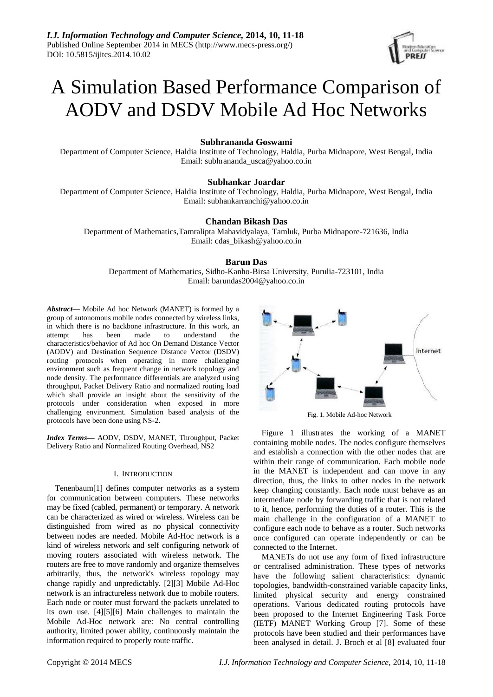

# A Simulation Based Performance Comparison of AODV and DSDV Mobile Ad Hoc Networks

# **Subhrananda Goswami**

Department of Computer Science, Haldia Institute of Technology, Haldia, Purba Midnapore, West Bengal, India Email: subhrananda\_usca@yahoo.co.in

# **Subhankar Joardar**

Department of Computer Science, Haldia Institute of Technology, Haldia, Purba Midnapore, West Bengal, India Email: subhankarranchi@yahoo.co.in

# **Chandan Bikash Das**

Department of Mathematics,Tamralipta Mahavidyalaya, Tamluk, Purba Midnapore-721636, India Email: cdas\_bikash@yahoo.co.in

# **Barun Das**

Department of Mathematics, Sidho-Kanho-Birsa University, Purulia-723101, India Email: barundas2004@yahoo.co.in

*Abstract***—** Mobile Ad hoc Network (MANET) is formed by a group of autonomous mobile nodes connected by wireless links, in which there is no backbone infrastructure. In this work, an attempt has been made to understand the characteristics/behavior of Ad hoc On Demand Distance Vector (AODV) and Destination Sequence Distance Vector (DSDV) routing protocols when operating in more challenging environment such as frequent change in network topology and node density. The performance differentials are analyzed using throughput, Packet Delivery Ratio and normalized routing load which shall provide an insight about the sensitivity of the protocols under consideration when exposed in more challenging environment. Simulation based analysis of the protocols have been done using NS-2.

*Index Terms***—** AODV, DSDV, MANET, Throughput, Packet Delivery Ratio and Normalized Routing Overhead, NS2

### I. INTRODUCTION

Tenenbaum[1] defines computer networks as a system for communication between computers. These networks may be fixed (cabled, permanent) or temporary. A network can be characterized as wired or wireless. Wireless can be distinguished from wired as no physical connectivity between nodes are needed. Mobile Ad-Hoc network is a kind of wireless network and self configuring network of moving routers associated with wireless network. The routers are free to move randomly and organize themselves arbitrarily, thus, the network's wireless topology may change rapidly and unpredictably. [2][3] Mobile Ad-Hoc network is an infractureless network due to mobile routers. Each node or router must forward the packets unrelated to its own use. [4][5][6] Main challenges to maintain the Mobile Ad-Hoc network are: No central controlling authority, limited power ability, continuously maintain the information required to properly route traffic.



Fig. 1. Mobile Ad-hoc Network

Figure 1 illustrates the working of a MANET containing mobile nodes. The nodes configure themselves and establish a connection with the other nodes that are within their range of communication. Each mobile node in the MANET is independent and can move in any direction, thus, the links to other nodes in the network keep changing constantly. Each node must behave as an intermediate node by forwarding traffic that is not related to it, hence, performing the duties of a router. This is the main challenge in the configuration of a MANET to configure each node to behave as a router. Such networks once configured can operate independently or can be connected to the Internet.

MANETs do not use any form of fixed infrastructure or centralised administration. These types of networks have the following salient characteristics: dynamic topologies, bandwidth-constrained variable capacity links, limited physical security and energy constrained operations. Various dedicated routing protocols have been proposed to the Internet Engineering Task Force (IETF) MANET Working Group [7]. Some of these protocols have been studied and their performances have been analysed in detail. J. Broch et al [8] evaluated four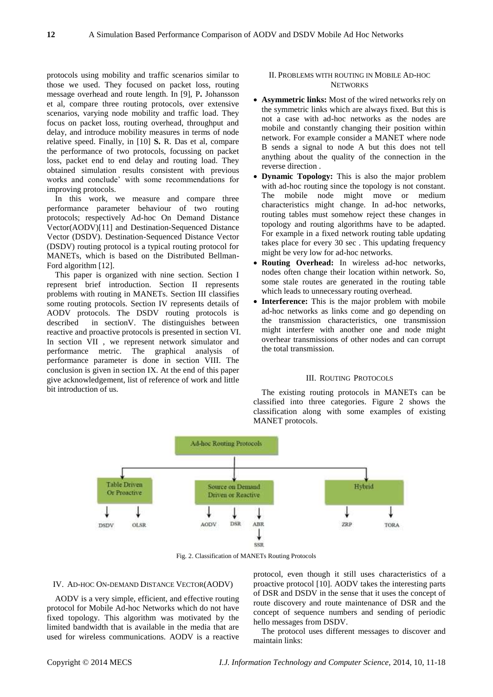protocols using mobility and traffic scenarios similar to those we used. They focused on packet loss, routing message overhead and route length. In [9], P**.** Johansson et al, compare three routing protocols, over extensive scenarios, varying node mobility and traffic load. They focus on packet loss, routing overhead, throughput and delay, and introduce mobility measures in terms of node relative speed. Finally, in [10] **S.** R. Das et al, compare the performance of two protocols, focussing on packet loss, packet end to end delay and routing load. They obtained simulation results consistent with previous works and conclude' with some recommendations for improving protocols.

In this work, we measure and compare three performance parameter behaviour of two routing protocols; respectively Ad-hoc On Demand Distance Vector(AODV)[11] and Destination-Sequenced Distance Vector (DSDV). Destination-Sequenced Distance Vector (DSDV) routing protocol is a typical routing protocol for MANETs, which is based on the Distributed Bellman-Ford algorithm [12].

This paper is organized with nine section. Section I represent brief introduction. Section II represents problems with routing in MANETs. Section III classifies some routing protocols. Section IV represents details of AODV protocols. The DSDV routing protocols is described in sectionV. The distinguishes between reactive and proactive protocols is presented in section VI. In section VII , we represent network simulator and performance metric. The graphical analysis of performance parameter is done in section VIII. The conclusion is given in section IX. At the end of this paper give acknowledgement, list of reference of work and little bit introduction of us.

# II. PROBLEMS WITH ROUTING IN MOBILE AD-HOC **NETWORKS**

- **Asymmetric links:** Most of the wired networks rely on the symmetric links which are always fixed. But this is not a case with ad-hoc networks as the nodes are mobile and constantly changing their position within network. For example consider a MANET where node B sends a signal to node A but this does not tell anything about the quality of the connection in the reverse direction .
- **Dynamic Topology:** This is also the major problem with ad-hoc routing since the topology is not constant. The mobile node might move or medium characteristics might change. In ad-hoc networks, routing tables must somehow reject these changes in topology and routing algorithms have to be adapted. For example in a fixed network routing table updating takes place for every 30 sec . This updating frequency might be very low for ad-hoc networks.
- **Routing Overhead:** In wireless ad-hoc networks, nodes often change their location within network. So, some stale routes are generated in the routing table which leads to unnecessary routing overhead.
- **Interference:** This is the major problem with mobile ad-hoc networks as links come and go depending on the transmission characteristics, one transmission might interfere with another one and node might overhear transmissions of other nodes and can corrupt the total transmission.

#### III. ROUTING PROTOCOLS

The existing routing protocols in MANETs can be classified into three categories. Figure 2 shows the classification along with some examples of existing MANET protocols.



Fig. 2. Classification of MANETs Routing Protocols

#### IV. AD-HOC ON-DEMAND DISTANCE VECTOR(AODV)

AODV is a very simple, efficient, and effective routing protocol for Mobile Ad-hoc Networks which do not have fixed topology. This algorithm was motivated by the limited bandwidth that is available in the media that are used for wireless communications. AODV is a reactive protocol, even though it still uses characteristics of a proactive protocol [10]. AODV takes the interesting parts of DSR and DSDV in the sense that it uses the concept of route discovery and route maintenance of DSR and the concept of sequence numbers and sending of periodic hello messages from DSDV.

The protocol uses different messages to discover and maintain links: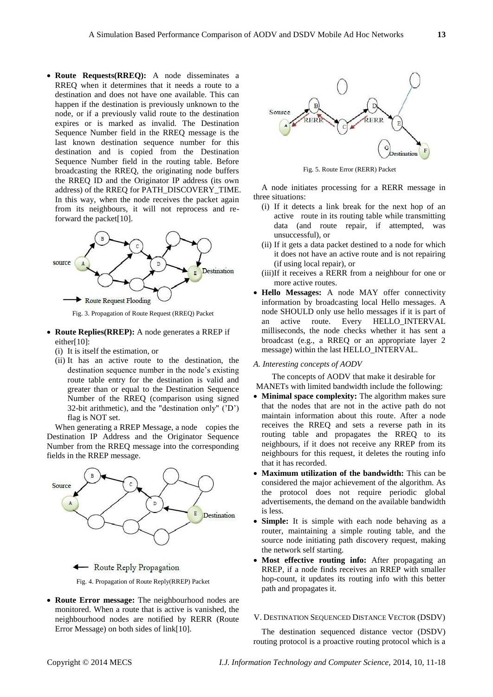**Route Requests(RREQ):** A node disseminates a RREQ when it determines that it needs a route to a destination and does not have one available. This can happen if the destination is previously unknown to the node, or if a previously valid route to the destination expires or is marked as invalid. The Destination Sequence Number field in the RREQ message is the last known destination sequence number for this destination and is copied from the Destination Sequence Number field in the routing table. Before broadcasting the RREQ, the originating node buffers the RREQ ID and the Originator IP address (its own address) of the RREQ for PATH\_DISCOVERY\_TIME. In this way, when the node receives the packet again from its neighbours, it will not reprocess and reforward the packet[10].



Fig. 3. Propagation of Route Request (RREQ) Packet

- **Route Replies(RREP):** A node generates a RREP if either[10]:
	- (i) It is itself the estimation, or
	- (ii) It has an active route to the destination, the destination sequence number in the node's existing route table entry for the destination is valid and greater than or equal to the Destination Sequence Number of the RREQ (comparison using signed 32-bit arithmetic), and the "destination only" ('D') flag is NOT set.

When generating a RREP Message, a node copies the Destination IP Address and the Originator Sequence Number from the RREQ message into the corresponding fields in the RREP message.



- Route Reply Propagation



 **Route Error message:** The neighbourhood nodes are monitored. When a route that is active is vanished, the neighbourhood nodes are notified by RERR (Route Error Message) on both sides of link[10].



Fig. 5. Route Error (RERR) Packet

A node initiates processing for a RERR message in three situations:

- (i) If it detects a link break for the next hop of an active route in its routing table while transmitting data (and route repair, if attempted, was unsuccessful), or
- (ii) If it gets a data packet destined to a node for which it does not have an active route and is not repairing (if using local repair), or
- (iii)If it receives a RERR from a neighbour for one or more active routes.
- **Hello Messages:** A node MAY offer connectivity information by broadcasting local Hello messages. A node SHOULD only use hello messages if it is part of an active route. Every HELLO\_INTERVAL milliseconds, the node checks whether it has sent a broadcast (e.g., a RREQ or an appropriate layer 2 message) within the last HELLO\_INTERVAL.

#### *A. Interesting concepts of AODV*

The concepts of AODV that make it desirable for

- MANETs with limited bandwidth include the following: • **Minimal space complexity:** The algorithm makes sure that the nodes that are not in the active path do not maintain information about this route. After a node receives the RREQ and sets a reverse path in its routing table and propagates the RREQ to its neighbours, if it does not receive any RREP from its neighbours for this request, it deletes the routing info that it has recorded.
- **Maximum utilization of the bandwidth:** This can be considered the major achievement of the algorithm. As the protocol does not require periodic global advertisements, the demand on the available bandwidth is less.
- **Simple:** It is simple with each node behaving as a router, maintaining a simple routing table, and the source node initiating path discovery request, making the network self starting.
- **Most effective routing info:** After propagating an RREP, if a node finds receives an RREP with smaller hop-count, it updates its routing info with this better path and propagates it.

#### V. DESTINATION SEQUENCED DISTANCE VECTOR (DSDV)

The destination sequenced distance vector (DSDV) routing protocol is a proactive routing protocol which is a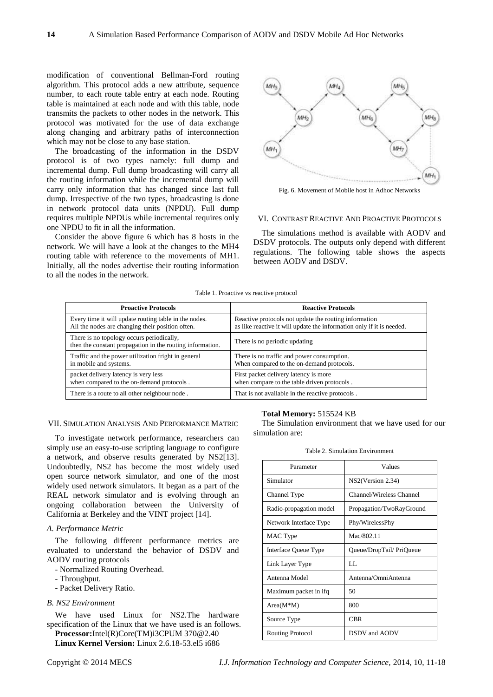modification of conventional Bellman-Ford routing algorithm. This protocol adds a new attribute, sequence number, to each route table entry at each node. Routing table is maintained at each node and with this table, node transmits the packets to other nodes in the network. This protocol was motivated for the use of data exchange along changing and arbitrary paths of interconnection which may not be close to any base station.

The broadcasting of the information in the DSDV protocol is of two types namely: full dump and incremental dump. Full dump broadcasting will carry all the routing information while the incremental dump will carry only information that has changed since last full dump. Irrespective of the two types, broadcasting is done in network protocol data units (NPDU). Full dump requires multiple NPDUs while incremental requires only one NPDU to fit in all the information.

Consider the above figure 6 which has 8 hosts in the network. We will have a look at the changes to the MH4 routing table with reference to the movements of MH1. Initially, all the nodes advertise their routing information to all the nodes in the network.



Fig. 6. Movement of Mobile host in Adhoc Networks

#### VI. CONTRAST REACTIVE AND PROACTIVE PROTOCOLS

The simulations method is available with AODV and DSDV protocols. The outputs only depend with different regulations. The following table shows the aspects between AODV and DSDV.

| <b>Proactive Protocols</b>                                                                             | <b>Reactive Protocols</b>                                             |
|--------------------------------------------------------------------------------------------------------|-----------------------------------------------------------------------|
| Every time it will update routing table in the nodes.                                                  | Reactive protocols not update the routing information                 |
| All the nodes are changing their position often.                                                       | as like reactive it will update the information only if it is needed. |
| There is no topology occurs periodically,<br>then the constant propagation in the routing information. | There is no periodic updating                                         |
| Traffic and the power utilization fright in general                                                    | There is no traffic and power consumption.                            |
| in mobile and systems.                                                                                 | When compared to the on-demand protocols.                             |
| packet delivery latency is very less                                                                   | First packet delivery latency is more                                 |
| when compared to the on-demand protocols.                                                              | when compare to the table driven protocols.                           |
| There is a route to all other neighbour node.                                                          | That is not available in the reactive protocols.                      |

## VII. SIMULATION ANALYSIS AND PERFORMANCE MATRIC

To investigate network performance, researchers can simply use an easy-to-use scripting language to configure a network, and observe results generated by NS2[13]. Undoubtedly, NS2 has become the most widely used open source network simulator, and one of the most widely used network simulators. It began as a part of the REAL network simulator and is evolving through an ongoing collaboration between the University of California at Berkeley and the VINT project [14].

## *A. Performance Metric*

The following different performance metrics are evaluated to understand the behavior of DSDV and AODV routing protocols

- Normalized Routing Overhead.
- Throughput.
- Packet Delivery Ratio.
- *B. NS2 Environment*

We have used Linux for NS2.The hardware specification of the Linux that we have used is an follows. **Processor:**Intel(R)Core(TM)i3CPUM 370@2.40

**Linux Kernel Version:** Linux 2.6.18-53.el5 i686

**Total Memory:** 515524 KB

The Simulation environment that we have used for our simulation are:

| Parameter               | Values                   |
|-------------------------|--------------------------|
| Simulator               | NS2(Version 2.34)        |
| Channel Type            | Channel/Wireless Channel |
| Radio-propagation model | Propagation/TwoRayGround |
| Network Interface Type  | Phy/WirelessPhy          |
| MAC Type                | Mac/802.11               |
| Interface Queue Type    | Queue/DropTail/ PriQueue |
| Link Layer Type         | LL.                      |
| Antenna Model           | Antenna/OmniAntenna      |
| Maximum packet in ifq   | 50                       |
| $Area(M*M)$             | 800                      |
| Source Type             | CBR                      |
| Routing Protocol        | DSDV and AODV            |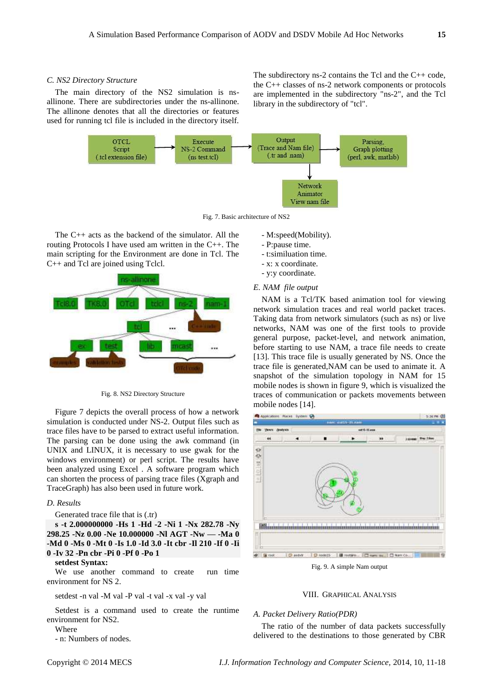#### *C. NS2 Directory Structure*

The main directory of the NS2 simulation is nsallinone. There are subdirectories under the ns-allinone. The allinone denotes that all the directories or features used for running tcl file is included in the directory itself.

The subdirectory ns-2 contains the Tcl and the C++ code, the C++ classes of ns-2 network components or protocols are implemented in the subdirectory "ns-2", and the Tcl library in the subdirectory of "tcl".



Fig. 7. Basic architecture of NS2

The C++ acts as the backend of the simulator. All the routing Protocols I have used am written in the C++. The main scripting for the Environment are done in Tcl. The C++ and Tcl are joined using Tclcl.



Fig. 8. NS2 Directory Structure

Figure 7 depicts the overall process of how a network simulation is conducted under NS-2. Output files such as trace files have to be parsed to extract useful information. The parsing can be done using the awk command (in UNIX and LINUX, it is necessary to use gwak for the windows environment) or perl script. The results have been analyzed using Excel . A software program which can shorten the process of parsing trace files (Xgraph and TraceGraph) has also been used in future work.

#### *D. Results*

Generated trace file that is (.tr)

**s -t 2.000000000 -Hs 1 -Hd -2 -Ni 1 -Nx 282.78 -Ny 298.25 -Nz 0.00 -Ne 10.000000 -Nl AGT -Nw — -Ma 0 -Md 0 -Ms 0 -Mt 0 -Is 1.0 -Id 3.0 -It cbr -Il 210 -If 0 -Ii 0 -Iv 32 -Pn cbr -Pi 0 -Pf 0 -Po 1**

#### **setdest Syntax:**

We use another command to create run time environment for NS 2.

setdest -n val -M val -P val -t val -x val -y val

Setdest is a command used to create the runtime environment for NS2.

#### Where

- n: Numbers of nodes.

- M:speed(Mobility).
- P:pause time.
- t:similuation time.
- x: x coordinate.
- y:y coordinate.

# *E. NAM file output*

NAM is a Tcl/TK based animation tool for viewing network simulation traces and real world packet traces. Taking data from network simulators (such as ns) or live networks, NAM was one of the first tools to provide general purpose, packet-level, and network animation, before starting to use NAM, a trace file needs to create [13]. This trace file is usually generated by NS. Once the trace file is generated,NAM can be used to animate it. A snapshot of the simulation topology in NAM for 15 mobile nodes is shown in figure 9, which is visualized the traces of communication or packets movements between mobile nodes [14].



Fig. 9. A simple Nam output

# VIII. GRAPHICAL ANALYSIS

# *A. Packet Delivery Ratio(PDR)*

The ratio of the number of data packets successfully delivered to the destinations to those generated by CBR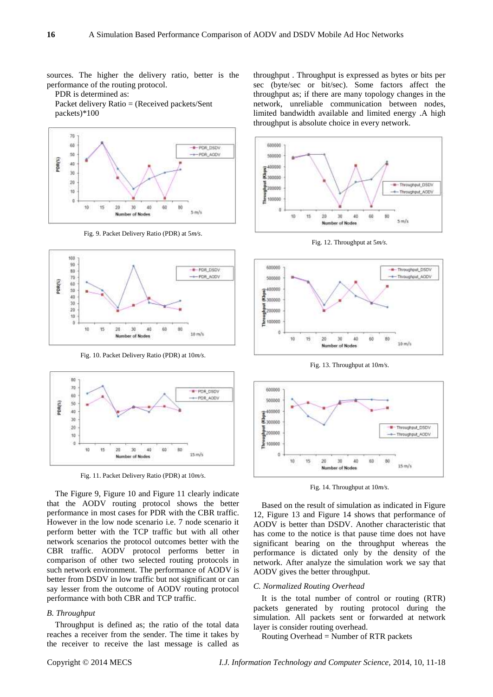sources. The higher the delivery ratio, better is the performance of the routing protocol.

PDR is determined as:

Packet delivery Ratio = (Received packets/Sent packets)\*100



Fig. 9. Packet Delivery Ratio (PDR) at 5*m/s*.



Fig. 10. Packet Delivery Ratio (PDR) at 10*m/s*.



Fig. 11. Packet Delivery Ratio (PDR) at 10*m/s*.

The Figure 9, Figure 10 and Figure 11 clearly indicate that the AODV routing protocol shows the better performance in most cases for PDR with the CBR traffic. However in the low node scenario i.e. 7 node scenario it perform better with the TCP traffic but with all other network scenarios the protocol outcomes better with the CBR traffic. AODV protocol performs better in comparison of other two selected routing protocols in such network environment. The performance of AODV is better from DSDV in low traffic but not significant or can say lesser from the outcome of AODV routing protocol performance with both CBR and TCP traffic.

## *B. Throughput*

Throughput is defined as; the ratio of the total data reaches a receiver from the sender. The time it takes by the receiver to receive the last message is called as throughput . Throughput is expressed as bytes or bits per sec (byte/sec or bit/sec). Some factors affect the throughput as; if there are many topology changes in the network, unreliable communication between nodes, limited bandwidth available and limited energy .A high throughput is absolute choice in every network.



Fig. 12. Throughput at 5*m/s*.



Fig. 13. Throughput at 10*m/s*.



Fig. 14. Throughput at 10*m/s*.

Based on the result of simulation as indicated in Figure 12, Figure 13 and Figure 14 shows that performance of AODV is better than DSDV. Another characteristic that has come to the notice is that pause time does not have significant bearing on the throughput whereas the performance is dictated only by the density of the network. After analyze the simulation work we say that AODV gives the better throughput.

# *C. Normalized Routing Overhead*

It is the total number of control or routing (RTR) packets generated by routing protocol during the simulation. All packets sent or forwarded at network layer is consider routing overhead.

Routing Overhead = Number of RTR packets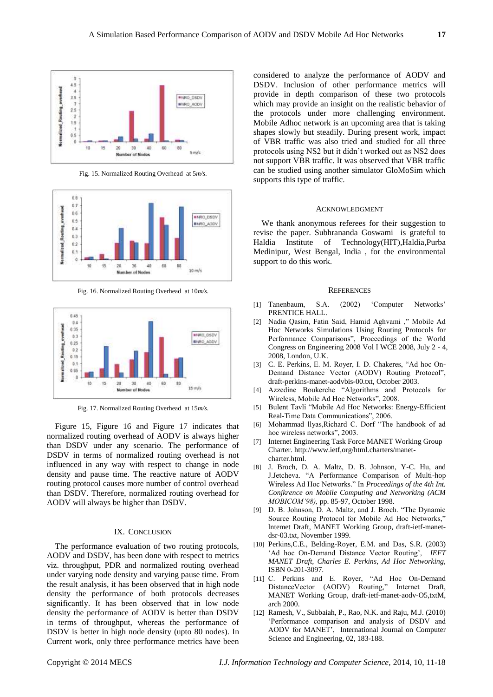

Fig. 15. Normalized Routing Overhead at 5*m/s*.



Fig. 16. Normalized Routing Overhead at 10*m/s*.



Fig. 17. Normalized Routing Overhead at 15*m/s*.

Figure 15, Figure 16 and Figure 17 indicates that normalized routing overhead of AODV is always higher than DSDV under any scenario. The performance of DSDV in terms of normalized routing overhead is not influenced in any way with respect to change in node density and pause time. The reactive nature of AODV routing protocol causes more number of control overhead than DSDV. Therefore, normalized routing overhead for AODV will always be higher than DSDV.

#### IX. CONCLUSION

The performance evaluation of two routing protocols, AODV and DSDV, has been done with respect to metrics viz. throughput, PDR and normalized routing overhead under varying node density and varying pause time. From the result analysis, it has been observed that in high node density the performance of both protocols decreases significantly. It has been observed that in low node density the performance of AODV is better than DSDV in terms of throughput, whereas the performance of DSDV is better in high node density (upto 80 nodes). In Current work, only three performance metrics have been considered to analyze the performance of AODV and DSDV. Inclusion of other performance metrics will provide in depth comparison of these two protocols which may provide an insight on the realistic behavior of the protocols under more challenging environment. Mobile Adhoc network is an upcoming area that is taking shapes slowly but steadily. During present work, impact of VBR traffic was also tried and studied for all three protocols using NS2 but it didn't worked out as NS2 does not support VBR traffic. It was observed that VBR traffic can be studied using another simulator GloMoSim which supports this type of traffic.

#### ACKNOWLEDGMENT

We thank anonymous referees for their suggestion to revise the paper. Subhrananda Goswami is grateful to Haldia Institute of Technology(HIT),Haldia,Purba Medinipur, West Bengal, India , for the environmental support to do this work.

#### **REFERENCES**

- [1] Tanenbaum, S.A. (2002) 'Computer Networks' PRENTICE HALL.
- [2] Nadia Qasim, Fatin Said, Hamid Aghvami ," Mobile Ad Hoc Networks Simulations Using Routing Protocols for Performance Comparisons", Proceedings of the World Congress on Engineering 2008 Vol I WCE 2008, July 2 - 4, 2008, London, U.K.
- [3] C. E. Perkins, E. M. Royer, I. D. Chakeres, "Ad hoc On-Demand Distance Vector (AODV) Routing Protocol", draft-perkins-manet-aodvbis-00.txt, October 2003.
- [4] Azzedine Boukerche "Algorithms and Protocols for Wireless, Mobile Ad Hoc Networks", 2008.
- [5] Bulent Tavli "Mobile Ad Hoc Networks: Energy-Efficient Real-Time Data Communications", 2006.
- [6] Mohammad llyas,Richard C. Dorf "The handbook of ad hoc wireless networks", 2003.
- [7] Internet Engineering Task Force MANET Working Group Charter. http://www.ietf,org/html.charters/manetcharter.html.
- [8] J. Broch, D. A. Maltz, D. B. Johnson, Y-C. Hu, and J.Jetcheva. "A Performance Comparison of Multi-hop Wireless Ad Hoc Networks." In *Proceedings of the 4th Int. Conjkrence on Mobile Computing and Networking (ACM MOBICOM'98),* pp. 85-97, October 1998.
- [9] D. B. Johnson, D. A. Maltz, and J. Broch. "The Dynamic Source Routing Protocol for Mobile Ad Hoc Networks," lntemet Draft, MANET Working Group, draft-ietf-manetdsr-03.txt, November 1999.
- [10] Perkins,C.E., Belding-Royer, E.M. and Das, S.R. (2003) 'Ad hoc On-Demand Distance Vector Routing', *IEFT MANET Draft, Charles E. Perkins, Ad Hoc Networking,*  ISBN 0-201-3097.
- [11] C. Perkins and E. Royer, "Ad Hoc On-Demand DistanceVector (AODV) Routing," Internet Draft, MANET Working Group, draft-ietf-manet-aodv-O5,txtM, arch 2000.
- [12] Ramesh, V., Subbaiah, P., Rao, N.K. and Raju, M.J. (2010) 'Performance comparison and analysis of DSDV and AODV for MANET', International Journal on Computer Science and Engineering, 02, 183-188.